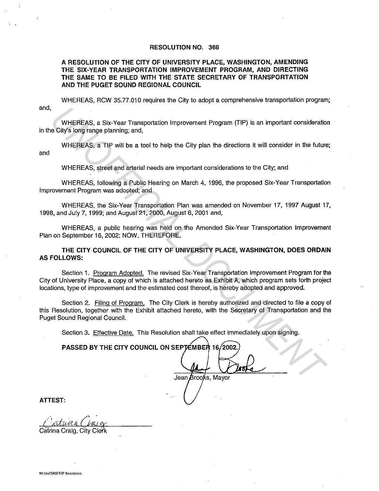## **RESOLUTION NO. 366**

# **A RESOLUTION OF THE CITY OF UNIVERSITY PLACE, WASHINGTON, AMENDING THE SIX-YEAR TRANSPORTATION IMPROVEMENT PROGRAM, AND DIRECTING THE SAME TO BE FILED WITH THE STATE SECRETARY OF TRANSPORTATION AND THE PUGET SOUND REGIONAL COUNCIL**

and, WHEREAS, RCW 35.77.010 requires the City to adopt a comprehensive transportation program;

WHEREAS, a Six-Year Transportation Improvement Program (TIP) is an important consideration in the City's long range planning; and,

WHEREAS, a TIP will be a tool to help the City plan the directions it will consider in the future; and

WHEREAS, street and arterial needs are important considerations to the City; and

WHEREAS, following a Public Hearing on March 4, 1996, the proposed Six-Year Transportation Improvement Program was adopted; and

WHEREAS, the Six-Year Transportation Plan was amended on November 17, 1997 August 17, 1998, and July 7, 1999; and August 21, 2000, August 6, 2001 and,

WHEREAS, a public hearing was held on the Amended Six-Year Transportation Improvement Plan on September 16, 2002; NOW, THEREFORE,

**THE CITY COUNCIL OF THE CITY OF UNIVERSITY PLACE, WASHINGTON, DOES ORDAIN AS FOLLOWS:** 

Section 1. Program Adopted. The revised Six-Year Transportation Improvement Program for the City of University Place, a copy of which is attached hereto as Exhibit A, which program sets forth project locations, type of improvement and the estimated cost thereof, is hereby adopted and approved. WHEREAS, a Six-Year Transportation Improvement Program (TIP) is an important consideration<br>
UNIFICIAL ON THE CITY COUNCIL DATA THE CITY COUNCIL ON SEPTEMBER 16, and<br>
WHEREAS, street and attendal needs are important conside

Section 2. Filing of Program. The City Clerk is hereby authorized and directed to file a copy of this Resolution, together with the Exhibit attached hereto, with the Secretary of Transportation and the Puget Sound Regional Council.

Section 3. Effective Date. This Resolution shall take effect immediately upon signing.

**PASSED BY THE CITY COUNCIL ON SEPTEMBER** 

**ATTEST:** 

Catrina Craig, City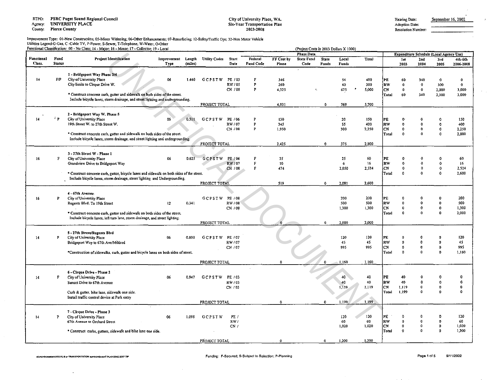RTPO: PSRC Puget Sound Regional Council

Agency: UNIVERSITY PLACE

County: Pierce County

## City of University Place, WA. Six-Year Transportation Plan 2003-2008

| Hearing Date: | Sep |
|---------------|-----|
|---------------|-----|

Adoption Date: Resolution Number:

# Improvement Type: Ol·New Construction; 05-Minor Widening; 06-0ther Enhancements; 07-Rcsurfacing; 12·Safety/Traffic Ops; 32-Non Motor Vehicle Utilities Legend:G-Gas, C -Cable TV, P-Power, S-Sewer, T-Telephone, W-Water, 0-0ther

|                   |               | Functional Classification: 00 - No Class: 14 - Major; 16 - Minor; 17 - Collector; 19 - Local |                            |         |                      |               |                             |                     | (Project Costs in 2003 Dollars X 1000) |                       |                |                    |                 |                                                |                         |             |                      |
|-------------------|---------------|----------------------------------------------------------------------------------------------|----------------------------|---------|----------------------|---------------|-----------------------------|---------------------|----------------------------------------|-----------------------|----------------|--------------------|-----------------|------------------------------------------------|-------------------------|-------------|----------------------|
| <b>Functional</b> | Fund          |                                                                                              |                            |         |                      |               |                             |                     | <b>Phase Data</b>                      |                       |                |                    |                 | <b>Expenditure Schedule (Local Agency Use)</b> |                         |             |                      |
| Class.            | <b>Status</b> | <b>Project Identification</b>                                                                | Improvement Length<br>Type | (miles) | <b>Utility Codes</b> | Start<br>Date | Federal<br><b>Fund Code</b> | FF Cost by<br>Phase | <b>State Fund</b><br>Code              | <b>State</b><br>Funds | Local<br>Funds | Total              |                 | <b>1st</b><br>2003                             | 2nd<br>2004             | 3rd<br>2005 | 4th-6th<br>2006-2008 |
|                   |               | 1 - Bridgeport Way Phase 3/4                                                                 |                            |         |                      |               |                             |                     |                                        |                       |                |                    |                 |                                                |                         |             |                      |
| 14                | F/P           | City of University Place                                                                     | 06                         | 1.440   | GCPSTW               | PE / 03       | F                           | 346                 |                                        |                       | 54             | 400                |                 | 60                                             | 340                     | o           | 0                    |
|                   |               | City limits to Cirque Drive W.                                                               |                            |         |                      | RW / 05       | P                           | 260                 |                                        |                       | 40             | 300                | PE<br><b>RW</b> | $\mathbf 0$                                    | $\mathbf{0}$            | 300         | 0                    |
|                   |               |                                                                                              |                            |         |                      | CN / 08       | P                           | 4,325               |                                        |                       | 675            | $\bullet$<br>5,000 | CN              | 0                                              | 0                       | 2,000       | 3,000                |
|                   |               | * Construct concrete curb, gutter and sidewalk on both sides of the street.                  |                            |         |                      |               |                             |                     |                                        |                       |                |                    | Total           | 60                                             | 340                     | 2,300       | 3,000                |
|                   |               | Include bicycle lanes, storm drainage, and street lighting and undergrounding.               |                            |         |                      |               |                             |                     |                                        |                       |                |                    |                 |                                                |                         |             |                      |
|                   |               |                                                                                              |                            |         | PROJECT TOTAL        |               |                             | 4,931               |                                        | $\Omega$              | 769            | 5.700              |                 |                                                |                         |             |                      |
|                   |               | 2 - Bridgeport Way W. Phase 5                                                                |                            |         |                      |               |                             |                     |                                        |                       |                |                    |                 |                                                |                         |             |                      |
| 14                | 'P            | City of University Place                                                                     | 06                         | 0.511   | <b>GCPSTW</b>        | PE / 06       | P                           | 130                 |                                        |                       | 20             | 150                | PE              |                                                |                         |             | 150                  |
|                   |               | 19th Street W. to 27th Street W.                                                             |                            |         |                      | RW / 07       | P                           | 345                 |                                        |                       | 55             | 400                | RW              |                                                | $\Omega$                |             | 400                  |
|                   |               |                                                                                              |                            |         |                      | CN / 08       | P                           | 1,950               |                                        |                       | 300            | 2.250              | CN              | n                                              | 0                       | 0           | 2,250                |
|                   |               | * Construct concrete curb, gutter and sidewalk on both sides of the street.                  |                            |         |                      |               |                             |                     |                                        |                       |                |                    | Total           | $\Omega$                                       | $\sqrt{2}$              |             | 2,800                |
|                   |               | Include bicycle lanes, storm drainage, and street lighting and undergrounding.               |                            |         |                      |               |                             |                     |                                        |                       |                |                    |                 |                                                |                         |             |                      |
|                   |               |                                                                                              |                            |         | PROJECT TOTAL        |               |                             | 2,425               |                                        | $\mathbf 0$           | 375            | 2.800              |                 |                                                |                         |             |                      |
|                   |               | 3 - 27th Street W - Phase 1                                                                  |                            |         |                      |               |                             |                     |                                        |                       |                |                    |                 |                                                |                         |             |                      |
| 16                | F             | City of University Place                                                                     | 06                         | 0.625   | GCPSTW               | PE / 06       |                             | 35                  |                                        |                       | 25             | 60                 | PE              |                                                |                         |             | 60                   |
|                   |               | Grandview Drive to Bridgeport Way                                                            |                            |         |                      | RW / 07       | F                           | 10                  |                                        |                       | 6              | 16                 | RW              | $\Omega$                                       | O                       |             | -16                  |
|                   |               |                                                                                              |                            |         |                      | CN / 08       | F                           | 474                 |                                        |                       | 2,050          | 2.524              | iCN.            | $\Omega$                                       | 0                       |             | 2,524                |
|                   |               | * Construct concrete curb, gutter, bicycle lanes and sidewalk on both sides of the street.   |                            |         |                      |               |                             |                     |                                        |                       |                |                    | Total           | $\Omega$                                       | $\Omega$                | Ω           | 2,600                |
|                   |               | Include bicycle lanes, storm drainage, street lighting and Undergrounding.                   |                            |         | PROJECT TOTAL        |               |                             | 519                 |                                        | $\mathbf{o}$          | 2,031          | 2,600              |                 |                                                |                         |             |                      |
|                   |               |                                                                                              |                            |         |                      |               |                             |                     |                                        |                       |                |                    |                 |                                                |                         |             |                      |
|                   |               | 4 - 67th Avenue                                                                              |                            |         |                      |               |                             |                     |                                        |                       |                |                    |                 |                                                |                         |             |                      |
| 16                | P             | City of University Place                                                                     |                            |         | GCPSTW PE/08         |               |                             |                     |                                        |                       | 200            | 200                | PE              |                                                |                         |             | 200                  |
|                   |               | Regents Blvd. To 19th Street                                                                 | 12                         | 0.341   |                      | RW / 08       |                             |                     |                                        |                       | 500            | 500                | ∤RW             | $\Omega$                                       | o                       | O           | 500                  |
|                   |               |                                                                                              |                            |         |                      | CN / 08       |                             |                     |                                        |                       | 1,300          | 1,300              | СN              | $\Omega$                                       | 0                       | O           | 1,300                |
|                   |               | * Construct concrete curb, gutter and sidewalk on both sides of the street.                  |                            |         |                      |               |                             |                     |                                        |                       |                |                    | Total           | $\Omega$                                       | o                       | $\Omega$    | 2,000                |
|                   |               | include bicycle lanes, left turn lane, storm drainage, and street lighting.                  |                            |         | PROJECT TOTAL        |               |                             |                     |                                        | $\mathbf{0}$          | 2,000          | 2.000              |                 |                                                |                         |             |                      |
|                   |               |                                                                                              |                            |         |                      |               |                             |                     |                                        |                       |                |                    |                 |                                                |                         |             |                      |
|                   |               | 5 - 27th Street/Regents Blvd                                                                 |                            |         |                      |               |                             |                     |                                        |                       |                |                    |                 |                                                |                         |             |                      |
| 14                | Р             | City of University Place                                                                     | 06                         | 0.800   | <b>GCPSTW</b>        | PE / 07       |                             |                     |                                        |                       | 120            | 120                | РE              |                                                |                         |             | 120                  |
|                   |               | Bridgeport Way to 67th Ave/Mildred                                                           |                            |         |                      | RW/07         |                             |                     |                                        |                       | 45             | 45                 | RW              | $\theta$                                       | $\Omega$                |             | 45                   |
|                   |               |                                                                                              |                            |         |                      | CN / 07       |                             |                     |                                        |                       | 995            | 995                | CN<br>Total     | $\Omega$<br>$^{\circ}$                         | $\bf{0}$<br>$\theta$    | $\Omega$    | 995<br>1,160         |
|                   |               | *Construction of sidewalks, curb, gutter and bicycle lanes on both sides of street.          |                            |         |                      |               |                             |                     |                                        |                       |                |                    |                 |                                                |                         |             |                      |
|                   |               |                                                                                              |                            |         | PROJECT TOTAL        |               |                             | $\Omega$            |                                        | o                     | 1,160          | 1,160              |                 |                                                |                         |             |                      |
|                   |               |                                                                                              |                            |         |                      |               |                             |                     |                                        |                       |                |                    |                 |                                                |                         |             |                      |
|                   |               | 6 - Cirque Drive - Phase 2                                                                   |                            |         |                      |               |                             |                     |                                        |                       |                |                    |                 |                                                |                         |             |                      |
| 14                | F             | City of University Place                                                                     | 06                         | 0.947   | GCPSTW               | PE / 03       |                             |                     |                                        |                       | 40             | 40                 | PE              | 40                                             |                         |             | 0                    |
|                   |               | Sunset Drive to 67th Avenue                                                                  |                            |         |                      | RW / 03       |                             |                     |                                        |                       | 40             | 40<br>1119         | RW<br>CN        | 40                                             | $\mathbf 0$             | o           | 0<br>O               |
|                   |               | Curb & gutter, bike lane, sidewalk one side.                                                 |                            |         |                      | CN / 03       |                             |                     |                                        |                       | 1,119          |                    | Total           | 1.119<br>1.199                                 | $\Omega$                |             | $\Omega$             |
|                   |               | Install traffic control device at Park entry                                                 |                            |         |                      |               |                             |                     |                                        |                       |                |                    |                 |                                                |                         |             |                      |
|                   |               |                                                                                              |                            |         | PROJECT TOTAL        |               |                             | $\Omega$            |                                        | $\theta$              | 1,199          | 1,199              |                 |                                                |                         |             |                      |
|                   |               |                                                                                              |                            |         |                      |               |                             |                     |                                        |                       |                |                    |                 |                                                |                         |             |                      |
|                   |               | 7 - Cirque Drive - Phase 3                                                                   |                            |         |                      |               |                             |                     |                                        |                       |                |                    |                 |                                                |                         |             |                      |
| 14                | P             | City of University Place                                                                     | 06                         | 1.098   | GCPSTW               | PE /          |                             |                     |                                        |                       | 120            | 120                | PE              | $\Omega$                                       | $\Omega$<br>$\mathbf 0$ |             | 120<br>60            |
|                   |               | 67th Avenue to Orchard Street                                                                |                            |         |                      | RW/<br>CN/    |                             |                     |                                        |                       | 60<br>1,020    | 60<br>1.020        | RW<br>CN        | $\mathbf{0}$<br>$\mathbf 0$                    | $\circ$                 | o<br>0      | 1,020                |
|                   |               | * Construct curbs, gutters, sidewalk and bike lane one side.                                 |                            |         |                      |               |                             |                     |                                        |                       |                |                    | Total           | $\Omega$                                       | $\boldsymbol{\alpha}$   | n           | 1,200                |
|                   |               |                                                                                              |                            |         |                      |               |                             |                     |                                        |                       |                |                    |                 |                                                |                         |             |                      |
|                   |               |                                                                                              |                            |         | PROJECT TOTAL        |               |                             | $\mathbf 0$         |                                        | Ð                     | 1,200          | 1,200              |                 |                                                |                         |             |                      |

 $\ddot{\phantom{a}}$ 

ptember 16, 2002

 $\mathbb{R}^{n}$  .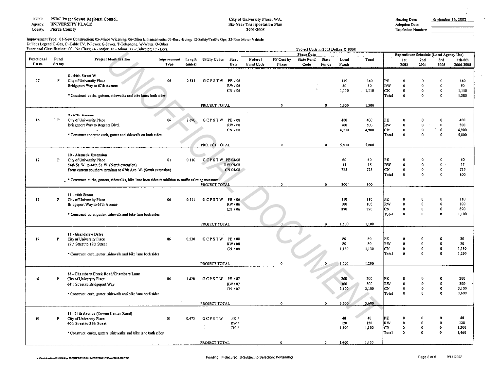RTPO: PSRC Puget Sound Regional Council

Agency: UNIVERSITY PLACE

County. Pierce County

#### City of University Place, WA. Six-Year Transportation Plan 2003-2008

Adoption Date: Resolution Number:

# Improvement Type: 01-New Construction; 05-Minor Widening; 06-Other Enhancements; 07-Resurfacing; 12-Safety/Traffic Ops; 32-Non Motor Vehicle Utilities Legend:G-Gas, C -Cable TV, P-Power, S-Sewer, T-Telephone, W-Water, O-Other<br>Functional Classification: 00 - No Class; 14 - Major; 16 - Minor; 17 - Collector; 19 - Local

|            |               | Functional Classification: 00 - No Class; 14 - Major; 16 - Minor; 17 - Collector; 19 - Local           |             |         |                      |             |           |             | (Project Costs in 2003 Dollars X 1000) |              |              |              |           |              |                                         |                  |                      |
|------------|---------------|--------------------------------------------------------------------------------------------------------|-------------|---------|----------------------|-------------|-----------|-------------|----------------------------------------|--------------|--------------|--------------|-----------|--------------|-----------------------------------------|------------------|----------------------|
| Functional | Fund          | <b>Project Identification</b>                                                                          | Improvement | Length  | <b>Utility Codes</b> | Start       | Federal   | FF Cost by  | <b>Phase Data</b><br><b>State Fund</b> | <b>State</b> | Local        | Total        |           |              | Expenditure Schedule (Local Agency Use) |                  |                      |
| Class.     | <b>Status</b> |                                                                                                        | Type        | (miles) |                      | Date        | Fund Code | Phase       | Code                                   | Funds        | Funds        |              |           | 1st<br>2003  | 2nd<br>2004                             | 3rd<br>2005      | 4th-6th<br>2006-2008 |
|            |               | 8 - 44th Street W                                                                                      |             |         |                      |             |           |             |                                        |              |              |              |           |              |                                         |                  |                      |
| 17         | P             | City of University Place                                                                               | 06          | 0,511   | <b>GCPSTW</b>        | PE / 06     |           |             |                                        |              | 140          | 140          | PE        |              |                                         |                  | 140                  |
|            |               | Bridgeport Way to 67th Avenue                                                                          |             |         |                      | RW / 06     |           |             |                                        |              | 50           | 50           | RW        | $\Omega$     | $\Omega$                                |                  | 50                   |
|            |               |                                                                                                        |             |         |                      | CN / 06     |           |             |                                        |              | 1,110        | 1,110        | CN        | 0            | 0                                       | 0                | 1,110                |
|            |               | * Construct curbs, gutters, sidewalks and bike lanes both sides                                        |             |         |                      |             |           |             |                                        |              |              |              | Total     | $\Omega$     | $\Omega$                                | $\Omega$         | 1,300                |
|            |               |                                                                                                        |             |         | PROJECT TOTAL        |             |           | o           |                                        | $\mathbf{0}$ | 1,300        | 1,300        |           |              |                                         |                  |                      |
|            |               | 9-67th Avenue                                                                                          |             |         |                      |             |           |             |                                        |              |              |              |           |              |                                         |                  |                      |
| 16         | $\mathbf{P}$  | City of University Place                                                                               | 06          | 2.690   | <b>GCPSTW</b>        | PE / 08     |           |             |                                        |              | 400          | 400          | PĽ        |              |                                         |                  | 400                  |
|            |               | Bridgeport Way to Regents Blvd.                                                                        |             |         |                      | RW / 08     |           |             |                                        |              | 500          | 500          | RW        |              |                                         | 0                | 500                  |
|            |               |                                                                                                        |             |         |                      | CN / 08     |           |             |                                        |              | 4,900        | 4,900        | CN        | $\theta$     |                                         | $\mathbf{o}$     | 4,900                |
|            |               | * Construct concrete curb, gutter and sidewalk on both sides.                                          |             |         |                      |             |           |             |                                        |              |              |              | Total     | $\mathbf{0}$ | 0                                       | o                | 5,800                |
|            |               |                                                                                                        |             |         | PROJECT TOTAL        |             |           | $\Omega$    |                                        | $\mathbf{0}$ | 5,800        | 5,800        |           |              |                                         |                  |                      |
|            |               | 10 - Alameda Extension                                                                                 |             |         |                      |             |           |             |                                        |              |              |              |           |              |                                         |                  |                      |
| 17         | P             | City of University Place                                                                               | 01          | 0.110   | GCPSTW PE04/08       |             |           |             |                                        |              | 60           | 60           | РË        | n            |                                         | Ω                | 60                   |
|            |               | 54th St. W. to 44th St. W. (North extension)                                                           |             |         |                      | RW 09/08    |           |             |                                        |              | 15           | 15           | RW        | $\Omega$     | o                                       | 0                | 15                   |
|            |               | From current southern terminus to 67th Ave. W. (South extension)                                       |             |         |                      | CN 05/08    |           |             |                                        |              | 725          | 725          | CN        | $\Omega$     | $\Omega$                                | 0                | 725                  |
|            |               |                                                                                                        |             |         |                      |             |           |             |                                        |              |              |              | Total     | $\bf{0}$     | $\Omega$                                | $\Omega$         | 800                  |
|            |               | . * Construct curbs, gutters, sidewalks, bike lane both sides in addition to traffic calming measures, |             |         | PROJECT TOTAL        |             |           | a           |                                        | $\mathbf 0$  | 800          | 800          |           |              |                                         |                  |                      |
|            |               |                                                                                                        |             |         |                      |             |           |             |                                        |              |              |              |           |              |                                         |                  |                      |
|            |               | 11 - 40th Street                                                                                       |             |         |                      |             |           |             |                                        |              | 110          | 110          | PE        | O            |                                         |                  | 110                  |
| 17         | P             | City of University Place                                                                               | 06          | 0.511   | GCPSTW PE/06         | RW / 06     |           |             |                                        |              | 100          | 100          | RW        | 0            | 0                                       | $\Omega$         | 100                  |
|            |               | Bridgeport Way to 67th Avenue                                                                          |             |         |                      | CN / 06     |           |             |                                        |              | 890          | 890          | <b>CN</b> | $\mathbf{0}$ | $\mathbf 0$                             | $\boldsymbol{0}$ | 890                  |
|            |               | * Construct curb, gutter, sidewalk and bike lane both sides                                            |             |         |                      |             |           |             |                                        |              |              |              | Total     | $\mathbf{0}$ | $\Omega$                                | $\mathbf{o}$     | 1,100                |
|            |               |                                                                                                        |             |         |                      |             |           |             |                                        |              |              |              |           |              |                                         |                  |                      |
|            |               |                                                                                                        |             |         | PROJECT TOTAL        |             |           |             |                                        | $\mathbf 0$  | 1.100        | 1.100        |           |              |                                         |                  |                      |
|            |               | 12 - Grandview Drive                                                                                   |             |         |                      |             |           |             |                                        |              |              |              |           |              |                                         |                  |                      |
| 17         | P.            | City of University Place                                                                               | 06          | 0.530   | GCPSTW PE/08         |             |           |             |                                        |              | 80           | 80           | PË        | o            | Ω                                       |                  | 80                   |
|            |               | 27th Street to 19th Street                                                                             |             |         |                      | RW/08       |           |             |                                        |              | 80           | 80           | RW        | $\theta$     | $\Omega$                                | $\Omega$         | 80                   |
|            |               |                                                                                                        |             |         |                      | CN / 08     |           |             |                                        |              | 1,130        | 1,130        | CN        | $\mathbf{0}$ | $\Omega$                                | $\mathbf 0$      | 1,130                |
|            |               | * Construct curb, gutter, sidewalk and bike lane both sides                                            |             |         |                      |             |           |             |                                        |              |              |              | Total     | 0            | $\Omega$                                | o                | 1,290                |
|            |               |                                                                                                        |             |         | PROJECT TOTAL        |             |           | $\Omega$    |                                        | $\Omega$     | 1,290        | 1,290        |           |              |                                         |                  |                      |
|            |               | 13 - Chambers Creek Road/Chambers Lane                                                                 |             |         |                      |             |           |             |                                        |              |              |              |           |              |                                         |                  |                      |
| t6         | P             | City of University Place                                                                               | 06          | 1.420   | GCPSTW PE/07         |             |           |             |                                        |              | 200          | 200          | РE        |              |                                         |                  | 200                  |
|            |               | 64th Street to Bridgeport Way                                                                          |             |         |                      | RW / 07     |           |             |                                        |              | 300          | 300          | RW        | $\mathbf{0}$ | 0                                       | 0                | 300                  |
|            |               |                                                                                                        |             |         |                      | CN / 07     |           |             |                                        |              | 3,100        | 3,100        | CN        | 0            | 0                                       | $\mathbf 0$      | 3,100                |
|            |               | * Construct curb, gutter, sidewalk and bike lane both sides                                            |             |         |                      |             |           |             |                                        |              |              |              | Total     | $\mathbf 0$  | $\mathbf{0}$                            | $\Omega$         | 3,600                |
|            |               |                                                                                                        |             |         | PROJECT TOTAL        |             |           | $^{\circ}$  |                                        | $\Omega$     | 3,600        | 3,600        |           |              |                                         |                  |                      |
|            |               |                                                                                                        |             |         |                      |             |           |             |                                        |              |              |              |           |              |                                         |                  |                      |
|            |               | 14 - 74th Avenue (Towne Center Road)                                                                   |             |         |                      |             |           |             |                                        |              |              |              |           |              |                                         |                  |                      |
| 19         | P             | City of University Place                                                                               | 01          | 0.473   | GCPSTW               | PE /        |           |             |                                        |              | 40           | 40           | PE        | £<br>Đ       | 0                                       | $\mathbf 0$      | 40<br>120            |
|            |               | 40th Street to 35th Street                                                                             |             |         |                      | RW/<br>CN/I |           |             |                                        |              | 120<br>1.300 | 120<br>1,300 | RW<br>lcN | 0            | $\bullet$                               | $\mathbf{0}$     | 1,300                |
|            |               | * Construct curbs, gutters, sidewalks and bike lane both sides                                         |             |         |                      |             |           |             |                                        |              |              |              | Total     | $\theta$     | 0                                       | $\Omega$         | 1,460                |
|            |               |                                                                                                        |             |         |                      |             |           |             |                                        |              |              |              |           |              |                                         |                  |                      |
|            |               |                                                                                                        |             |         | PROJECT TOTAL        |             |           | $\mathbf 0$ |                                        | $\Omega$     | 1,460        | 1,460        |           |              |                                         |                  |                      |

 $\sim$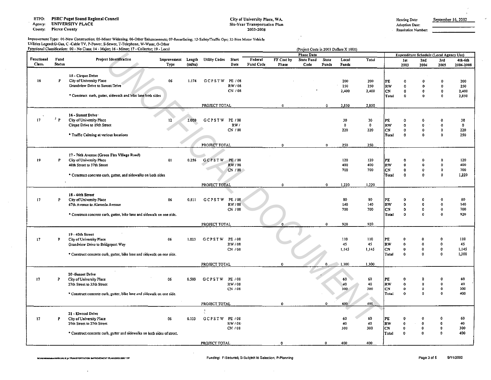RTPO: PSRC Puget Sound Regional Council

Agency: UNIVERSITY PLACE

County: Pierce County

#### City of University Place, WA. Six-Year Transportation Plan 2003-2008

 $\ddot{\phantom{1}}$  $\hat{r}$ 

Adoption Date: Resolution Number:

# Improvement Type: 01-New Construction; OS-Minor Widening; 06-0ther Enhancements; 07-Resurfacing; 12·Safotyfrraffic Ops; 32-Nnn Motor Vehicle Utilities Legend;G-Gas, C -Cable TV, P-Power, S-Sewer, T-Telephone, W-Water, O-Other<br>Functional Classification: 00 - No Class; 14 - Major; 16 - Minor; 17 - Collector; 19 - Local

|                 |               | runctional Classification: 00 - No Class; 14 - Major; 16 - Minor; 17 - Collector; 19 - Local |                     |                   |                      |               |           |                     |                           |                       | (Project Costs in 2003 Dollars X 1000) |              |           |              |                                         |                     |                      |
|-----------------|---------------|----------------------------------------------------------------------------------------------|---------------------|-------------------|----------------------|---------------|-----------|---------------------|---------------------------|-----------------------|----------------------------------------|--------------|-----------|--------------|-----------------------------------------|---------------------|----------------------|
| Functional      | Fund          | <b>Project Identification</b>                                                                |                     |                   |                      |               | Federal   |                     | <b>Phase Data</b>         |                       |                                        |              |           |              | Expenditure Schedule (Local Agency Use) |                     |                      |
| Class.          | <b>Status</b> |                                                                                              | Improvement<br>Type | Length<br>(miles) | <b>Utility Codes</b> | Start<br>Date | Fund Code | FF Cost by<br>Phase | <b>State Fund</b><br>Code | <b>State</b><br>Funds | Local<br>Funds                         | <b>Total</b> |           | 1st<br>2003  | 2nd<br>2004                             | 3rd<br>2005         | 4th-6th<br>2006-2008 |
|                 |               |                                                                                              |                     |                   |                      |               |           |                     |                           |                       |                                        |              |           |              |                                         |                     |                      |
|                 |               | 15 - Cirque Drive                                                                            |                     |                   |                      |               |           |                     |                           |                       |                                        |              |           |              |                                         |                     |                      |
| 16              | P             | City of University Place                                                                     | 06                  | 1.174             | <b>GCPSTW</b>        | PE / 08       |           |                     |                           |                       | 200                                    | 200          | PL        | $\theta$     | $\Omega$                                | n                   | 200                  |
|                 |               | Grandview Drive to Sunset Drive                                                              |                     |                   |                      | RW/08         |           |                     |                           |                       | 250                                    | 250          | RW        | $\mathbf{0}$ | $\mathbf{0}$                            | $\mathbf{0}$        | 250                  |
|                 |               |                                                                                              |                     |                   |                      | CN / 08       |           |                     |                           |                       | 2,400                                  | 2.400        | CN.       | $\Omega$     | $\mathbf 0$                             | 0                   | 2,400                |
|                 |               | * Construct curb, gutter, sidewalk and bike lane both sides                                  |                     |                   |                      |               |           |                     |                           |                       |                                        |              | Total     | o            | 0                                       | O                   | 2,850                |
|                 |               |                                                                                              |                     |                   |                      |               |           |                     |                           |                       |                                        |              |           |              |                                         |                     |                      |
|                 |               |                                                                                              |                     |                   | PROJECT TOTAL        |               |           | $\mathbf 0$         |                           | $\mathbf 0$           | 2,850                                  | 2,850        |           |              |                                         |                     |                      |
|                 |               | 16 - Sunset Driver                                                                           |                     |                   |                      |               |           |                     |                           |                       |                                        |              |           |              |                                         |                     |                      |
| 17 <sub>2</sub> | P             | City of University Place                                                                     | 12 <sup>2</sup>     | 2.000             | GCPSTW               | PE / 08       |           |                     |                           |                       | 30                                     | 30           | PE        | 0            | 0                                       |                     | 30                   |
|                 |               | Cirque Drive to 19th Street                                                                  |                     |                   |                      | RW/           |           |                     |                           |                       | $\mathbf 0$                            | $\bf{0}$     | RW        | $\bullet$    | $\mathbf{o}$                            | $\Omega$            | $\mathbf 0$          |
|                 |               |                                                                                              |                     |                   |                      | CN / 08       |           |                     |                           |                       | 220                                    | 220          | CN.       | 0            | $\Omega$                                | 0                   | 220                  |
|                 |               | * Traffic Calming at various locations                                                       |                     |                   |                      |               |           |                     |                           |                       |                                        |              | Total     | 0            | $\Omega$                                | $\Omega$            | 250                  |
|                 |               |                                                                                              |                     |                   |                      |               |           |                     |                           |                       |                                        |              |           |              |                                         |                     |                      |
|                 |               |                                                                                              |                     |                   | PROJECT TOTAL        |               |           | $\Omega$            |                           | $\mathbf{0}$          | 250                                    | 250          |           |              |                                         |                     |                      |
|                 |               |                                                                                              |                     |                   |                      |               |           |                     |                           |                       |                                        |              |           |              |                                         |                     |                      |
| 19              | P             | 17 - 76th Avenue (Green Firs Village Road)<br>City of University Place                       | 01                  | 0.256             | <b>GCPSTW</b>        | PE / 08       |           |                     |                           |                       | 120                                    | 120          | PE        | o            | $\alpha$                                |                     | 120                  |
|                 |               | 40th Street to 37th Street                                                                   |                     |                   |                      | RW / 08       |           |                     |                           |                       | 400                                    | 400          | RW        | $\Omega$     | $\ddot{\mathbf{0}}$                     | $\Omega$            | 400                  |
|                 |               |                                                                                              |                     |                   |                      | CN/08         |           |                     |                           |                       | 700                                    | 700          | CN        | 0            | $\bullet$                               | $\theta$            | 700                  |
|                 |               | * Construct concrete curb, gutter, and sidewalks on both sides                               |                     |                   |                      |               |           |                     |                           |                       |                                        |              | Total     | $\Omega$     | D.                                      | $\mathbf{a}$        | 1,220                |
|                 |               |                                                                                              |                     |                   |                      |               |           |                     |                           |                       |                                        |              |           |              |                                         |                     |                      |
|                 |               |                                                                                              |                     |                   | PROJECT TOTAL        |               |           | $\boldsymbol{0}$    |                           | $\bullet$             | 1.220                                  | 1,220        |           |              |                                         |                     |                      |
|                 |               |                                                                                              |                     |                   |                      |               |           |                     |                           |                       |                                        |              |           |              |                                         |                     |                      |
| 17 <sub>2</sub> | P             | 18 - 44th Street<br>City of University Place                                                 | 06                  | 0.511             | <b>GCPSTW</b>        | PE / 08       |           |                     |                           |                       | 80                                     | 80           | PE        | 0            |                                         |                     | 80                   |
|                 |               | 67th Avenue to Alameda Avenue                                                                |                     |                   |                      | RW / 08       |           |                     |                           |                       | 140                                    | 140          | RW        | 0            | $\mathbf{0}$                            | $\Omega$            | 140                  |
|                 |               |                                                                                              |                     |                   |                      | CN / 08       |           |                     |                           |                       | 700                                    | 700          | lсN       | 0            | $\ddot{\mathbf{0}}$                     | -0                  | 700                  |
|                 |               | * Construct concrete curb, gutter, bike lane and sidewalk on one side.                       |                     |                   |                      |               |           |                     |                           |                       |                                        |              | Total     | 0            | $\Omega$                                | $\Omega$            | 920                  |
|                 |               |                                                                                              |                     |                   |                      |               |           |                     |                           |                       |                                        |              |           |              |                                         |                     |                      |
|                 |               |                                                                                              |                     |                   | PROJECT TOTAL        |               |           |                     |                           | $\Omega$              | 920                                    | 920          |           |              |                                         |                     |                      |
|                 |               | 19-40th Street                                                                               |                     |                   |                      |               |           |                     |                           |                       |                                        |              |           |              |                                         |                     |                      |
| 17              | P             | City of University Place                                                                     | 06                  | 1.023             | <b>GCPSTW</b>        | PE / 08       |           |                     |                           |                       | 110                                    | 110          | PE        | 0            | o                                       | o                   | 110                  |
|                 |               | Grandview Drive to Bridgeport Way                                                            |                     |                   |                      | RW/08         |           |                     |                           |                       | 45                                     | 45           | RW        | $\mathbf{0}$ | $\mathbf 0$                             | $\ddot{\mathbf{0}}$ | 45                   |
|                 |               |                                                                                              |                     |                   |                      | CN / 08       |           |                     |                           |                       | 1,145                                  | 1.145        | CN        | 0            | $\bullet$                               | $\mathbf 0$         | 1,145                |
|                 |               | * Construct concrete curb, gutter, bike lane and sidewalk on one side.                       |                     |                   |                      |               |           |                     |                           |                       |                                        |              | Total     | $\theta$     | $\Omega$                                | $\Omega$            | 1,300                |
|                 |               |                                                                                              |                     |                   |                      |               |           |                     |                           |                       |                                        |              |           |              |                                         |                     |                      |
|                 |               |                                                                                              |                     |                   | PROJECT TOTAL        |               |           | $\Omega$            |                           | 0.                    | 1,300                                  | 1,300        |           |              |                                         |                     |                      |
|                 |               | 20-Sunset Drive                                                                              |                     |                   |                      |               |           |                     |                           |                       |                                        |              |           |              |                                         |                     |                      |
| 17              | P             | City of University Place                                                                     | 06                  | 0.500             | <b>GCPSTW</b>        | PE / 08       |           |                     |                           |                       | 60                                     | 60           | PE        | 0            |                                         | $\Omega$            | 60                   |
|                 |               | 27th Street to 35th Street                                                                   |                     |                   |                      | RW/08         |           |                     |                           |                       | 40                                     | 40           | <b>RW</b> | $\mathbf 0$  | $\mathbf{0}$                            | $\mathbf{0}$        | 40                   |
|                 |               |                                                                                              |                     |                   |                      | CN / 08       |           |                     |                           |                       | 300                                    | 300          | CN        | ٥            | $\mathbf 0$                             | $\Omega$            | 300                  |
|                 |               | * Construct concrete curb, gutter, bike lane and sidewalk on one side.                       |                     |                   |                      |               |           |                     |                           |                       |                                        |              | Total     | $\Omega$     | n.                                      | -0                  | 400                  |
|                 |               |                                                                                              |                     |                   |                      |               |           |                     |                           |                       |                                        |              |           |              |                                         |                     |                      |
|                 |               |                                                                                              |                     |                   | PROJECT TOTAL        |               |           | $\Omega$            |                           | $\Omega$              | 400                                    | 400          |           |              |                                         |                     |                      |
|                 |               | 21 - Elwood Drive                                                                            |                     |                   |                      |               |           |                     |                           |                       |                                        |              |           |              |                                         |                     |                      |
| 17              | P             | City of University Place                                                                     | 06                  | 0.133             | <b>GCPSTW</b>        | PE / 08       |           |                     |                           |                       | 60                                     | 60           | PE        | O            | o                                       | $\mathbf{0}$        | 60                   |
|                 |               | 29th Street to 27th Street                                                                   |                     |                   |                      | RW/08         |           |                     |                           |                       | 40                                     | 40           | <b>RW</b> | $\theta$     | $\mathbf{0}$                            | $\Omega$            | 40                   |
|                 |               |                                                                                              |                     |                   |                      | CN / 08       |           |                     |                           |                       | 300                                    | 300          | CN        | 0            | 0                                       | -0                  | 300                  |
|                 |               | * Construct concrete curb, gutter and sidewalks on both sides of street.                     |                     |                   |                      |               |           |                     |                           |                       |                                        |              | Total     | $\theta$     | $\Omega$                                | 0                   | 400                  |
|                 |               |                                                                                              |                     |                   |                      |               |           |                     |                           |                       |                                        |              |           |              |                                         |                     |                      |
|                 |               |                                                                                              |                     |                   | PROJECT TOTAL        |               |           | $\bullet$           |                           | 0                     | 400                                    | 400          |           |              |                                         |                     |                      |

 $\bar{ }$  .

J.

 $\mathcal{L}$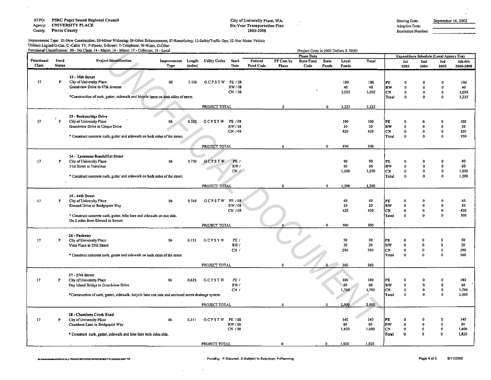RTPO: PSRC Puget Sound Regional Council Agency: UNIVERSITY PLACE County: Pierce County

 $\sim$ 

## City of University Place, WA. Six-Year Transportation Plan 2003-2008

 $\bar{\Delta}$  $\sim$ 

Improvement Type: 01-New Construction; 05-Minor Widening; 06-Other Enhancements; 07-Resurfacing; 12-Safety/Traffic Ops; 32-Non Motor Vehicle Utili1ies Legend:G·Gas, C ·Cable TV, P·Power, S·Sewer, T·Telephone, W-Water, O·Other

|                      |                       | Functional Classification: 00 - No Class; 14 - Major; 16 - Minor; 17 - Collector; 19 - Local       |                     |                   |                      |                  |                             |                            |                           |                       | (Project Costs in 2003 Dollars X 1000) |              |                 |                              |                                         |                                    |                      |
|----------------------|-----------------------|----------------------------------------------------------------------------------------------------|---------------------|-------------------|----------------------|------------------|-----------------------------|----------------------------|---------------------------|-----------------------|----------------------------------------|--------------|-----------------|------------------------------|-----------------------------------------|------------------------------------|----------------------|
|                      |                       |                                                                                                    |                     |                   |                      |                  |                             |                            | <b>Phase Data</b>         |                       |                                        |              |                 |                              | Expenditure Schedule (Local Agency Use) |                                    |                      |
| Functional<br>Class. | Fund<br><b>Status</b> | <b>Project Identification</b>                                                                      | Improvement<br>Type | Length<br>(miles) | <b>Utility Codes</b> | Start<br>Date    | Federal<br><b>Fund Code</b> | FF Cost by<br><b>Phase</b> | <b>State Fund</b><br>Code | <b>State</b><br>Funds | Local<br>Funds                         | <b>Total</b> |                 | 1st<br>2003                  | 2nd<br>2004                             | 3rd<br>2005                        | 4th-6th<br>2006-2008 |
|                      |                       | 22 - 35th Street                                                                                   |                     |                   |                      |                  |                             |                            |                           |                       |                                        |              |                 |                              |                                         |                                    |                      |
| 17                   | P                     | City of University Place                                                                           | 06                  | 1.136             | GCPSTW               | PE / 08          |                             |                            |                           |                       | 180                                    | 180          | PE              | $\theta$                     |                                         | ŋ                                  | 180                  |
|                      |                       | Grandview Drive to 67th Avenue                                                                     |                     |                   |                      | RW/08            |                             |                            |                           |                       | 40                                     | 40           | RW              | $\theta$                     | O                                       | 0                                  | 40                   |
|                      |                       |                                                                                                    |                     |                   |                      | CN / 08          |                             |                            |                           |                       | 3,005                                  | 5,005        | CN              | $\theta$                     | O                                       | 0                                  | 3.005                |
|                      |                       | *Construction of curb, gutter, sidewalk and bicycle lanes on both sides of street.                 |                     |                   |                      |                  |                             |                            |                           |                       |                                        |              | Total           | $\ddot{\mathbf{0}}$          | $\Omega$                                | $\mathbf{0}$                       | 3,225                |
|                      |                       |                                                                                                    |                     |                   | PROJECT TOTAL        |                  |                             | $\mathbf{0}$               |                           | $\bullet$             | 3.225                                  | 3,225        |                 |                              |                                         |                                    |                      |
|                      | J.                    | 23 - Beckonridge Drive                                                                             |                     |                   |                      |                  |                             |                            |                           |                       |                                        |              |                 |                              |                                         |                                    |                      |
| 17                   | P                     | City of University Place                                                                           | 06                  | 0.530             | GCPSTW               | PE / 08          |                             |                            |                           |                       | 100                                    | 100          | РE              | $\Omega$                     |                                         |                                    | 100                  |
|                      |                       | Grandview Drive to Cirque Drive                                                                    |                     |                   |                      | RW / 08          |                             |                            |                           |                       | 30                                     | 30           | RW              | $\theta$                     | $\Omega$                                | Ω                                  | 30                   |
|                      |                       | * Construct concrete curb, gutter and sidewalk on both sides of the street.                        |                     |                   |                      | CN / 08          |                             |                            |                           |                       | 820                                    | 820          | CN<br>Total     | $\mathbf 0$<br>$\theta$      | $\ddot{\mathbf{0}}$<br>$\mathbf{0}$     | Ð<br>$\Omega$                      | 820<br>950           |
|                      |                       |                                                                                                    |                     |                   |                      |                  |                             |                            |                           |                       |                                        |              |                 |                              |                                         |                                    |                      |
|                      |                       |                                                                                                    |                     |                   | PROJECT TOTAL        |                  |                             | $\mathbf{a}$               |                           | $\bullet$             | 950                                    | 950          |                 |                              |                                         |                                    |                      |
|                      |                       | 24 - Lemmons Beach/31st Street                                                                     |                     |                   |                      |                  |                             |                            |                           |                       |                                        |              |                 |                              |                                         |                                    |                      |
| 17                   | P                     | City of University Place                                                                           | 06                  | 0.756             | GCPSTW               | PE /             |                             |                            |                           |                       | 90                                     | 90           | PE              | 0                            |                                         |                                    | 90                   |
|                      |                       | 31st Street to Terminus                                                                            |                     |                   |                      | RW /             |                             |                            |                           |                       | 60                                     | 60           | RW              | $\bf{0}$                     | $\Omega$                                | $\Omega$                           | 60                   |
|                      |                       |                                                                                                    |                     |                   |                      | $CN / \sim$      |                             |                            |                           |                       | 1.050                                  | 1.050        | CN.             | $\ddot{\mathbf{0}}$          | $\ddot{\mathbf{0}}$                     | $\theta$                           | 1.050                |
|                      |                       | * Construct concrete curb, gutter and sidewalk on both sides of the street.                        |                     |                   |                      |                  |                             |                            |                           |                       |                                        |              | Total           | $\Omega$                     | $\mathbf{0}$                            | $\mathbf{0}$                       | 1,200                |
|                      |                       |                                                                                                    |                     |                   | PROJECT TOTAL        |                  |                             | $\Omega$                   |                           | $\mathbf{0}$          | 1,200                                  | 1,200        |                 |                              |                                         |                                    |                      |
|                      |                       | 25 - 44th Street                                                                                   |                     |                   |                      |                  |                             |                            |                           |                       |                                        |              |                 |                              |                                         |                                    |                      |
| 17                   | P                     | City of University Place                                                                           | 06                  | 0.549             | GCPSTW               | PE / 08          |                             |                            |                           |                       | 60                                     | 60           | PE              |                              |                                         |                                    | 60                   |
|                      |                       | Elwood Drive to Bridgeport Way                                                                     |                     |                   |                      | RW/08            |                             |                            |                           |                       | 20                                     | 20           | RW              | 0                            | $\bullet$                               | $\Omega$                           | 20                   |
|                      |                       |                                                                                                    |                     |                   |                      | CN / 08          |                             |                            |                           |                       | 420                                    | 420          | CN              | 0                            | $\mathbf 0$                             | 0                                  | 420                  |
|                      |                       | * Construct concrete curb, gutter, bike lane and sidewalk on one side.                             |                     |                   |                      |                  |                             |                            |                           |                       |                                        |              | Total           | 0                            | o                                       | ο                                  | 500                  |
|                      |                       | On 2 sides from Elwood to Sunset.                                                                  |                     |                   | PROJECT TOTAL        |                  |                             | 0                          |                           | $\bullet$             | 500                                    | 500          |                 |                              |                                         |                                    |                      |
|                      |                       |                                                                                                    |                     |                   |                      |                  |                             |                            |                           |                       |                                        |              |                 |                              |                                         |                                    |                      |
|                      |                       | 26 - Parkway                                                                                       |                     |                   |                      |                  |                             |                            |                           |                       |                                        |              |                 |                              |                                         |                                    |                      |
| 17                   | P                     | City of University Place                                                                           | 06                  | 0.133             | <b>GCPSTW</b>        | PE /<br>RW/      |                             |                            |                           |                       | 50<br>20                               | 50<br>20     | PЕ<br>RW        | O<br>$\mathbf{0}$            | $\mathbf{a}$<br>o                       | Ð                                  | 50<br>20             |
|                      |                       | Vista Place to 29th Street                                                                         |                     |                   |                      | CN/              |                             |                            |                           |                       | 290                                    | 290          | <b>CN</b>       | 0                            | $\ddot{\mathbf{0}}$                     | $\mathbf{0}$                       | 290                  |
|                      |                       | * Construct concrete curb, gutter and sidewalk on both sides of the street.                        |                     |                   |                      |                  |                             |                            |                           |                       |                                        |              | Total           | $\theta$                     | $\Omega$                                | $\Omega$                           | 360                  |
|                      |                       |                                                                                                    |                     |                   | PROJECT TOTAL        |                  |                             | $\Omega$                   |                           | $\Omega$              | 360                                    | 360          |                 |                              |                                         |                                    |                      |
|                      |                       |                                                                                                    |                     |                   |                      |                  |                             |                            |                           |                       |                                        |              |                 |                              |                                         |                                    |                      |
|                      |                       | 27 - 27th Street                                                                                   |                     |                   |                      |                  |                             |                            |                           |                       |                                        |              |                 |                              |                                         |                                    |                      |
| 17                   | P                     | City of University Place                                                                           | 06                  | 0.625             | <b>GCPSTW</b>        | PE /             |                             |                            |                           |                       | 180                                    | 180          | PE.             | O                            |                                         |                                    | 180                  |
|                      |                       | Day Island Bridge to Grandview Drive                                                               |                     |                   |                      | RW/<br>CN/I      |                             |                            |                           |                       | 60<br>1.760                            | 60<br>1,760  | RW<br>CN        | $\mathbf{0}$<br>$\mathbf{0}$ | $\mathbf 0$<br>$\bullet$                | ٥<br>$^{\circ}$                    | 60<br>1,760          |
|                      |                       | *Construction of curb, gutter, sidewalk, bicycle lane one side and enclosed storm drainage system. |                     |                   |                      |                  |                             |                            |                           |                       |                                        |              | Total           | $\Omega$                     | $\Omega$                                |                                    | 2,000                |
|                      |                       |                                                                                                    |                     |                   | PROJECT TOTAL        |                  |                             | $\Omega$                   |                           | $\Omega$              | 2,000                                  | 2,000        |                 |                              |                                         |                                    |                      |
|                      |                       |                                                                                                    |                     |                   |                      |                  |                             |                            |                           |                       |                                        |              |                 |                              |                                         |                                    |                      |
|                      |                       | 28 - Chambers Creek Road                                                                           |                     |                   |                      |                  |                             |                            |                           |                       |                                        |              |                 |                              |                                         |                                    |                      |
| 17                   | P                     | City of University Place                                                                           | 06                  | 0.511             | GCPSTW               | PE / 08          |                             |                            |                           |                       | 140                                    | 140          | РE              | O                            |                                         |                                    | 140                  |
|                      |                       | Chambers Lane to Bridgeport Way                                                                    |                     |                   |                      | RW/08<br>CN / 08 |                             |                            |                           |                       | 80<br>1,600                            | 80<br>1,600  | <b>RW</b><br>CN | $\Omega$<br>$\bf{0}$         | o<br>$\pmb{0}$                          | $\mathbf 0$<br>$\ddot{\mathbf{0}}$ | 80<br>1,600          |
|                      |                       | * Construct curb, gutter, sidewalk and bike lane both sides side.                                  |                     |                   |                      |                  |                             |                            |                           |                       |                                        |              | <b>Total</b>    | Ð                            | Ō.                                      | $\mathbf{r}$                       | 1,820                |
|                      |                       |                                                                                                    |                     |                   |                      |                  |                             |                            |                           |                       |                                        |              |                 |                              |                                         |                                    |                      |
|                      |                       |                                                                                                    |                     |                   | PROJECT TOTAL        |                  |                             | $\bullet$                  |                           | $\circ$               | 1,820                                  | 1,820        |                 |                              |                                         |                                    |                      |

 $\sim$ 

 $\sim$ 

Adoption Date: Resolution Number: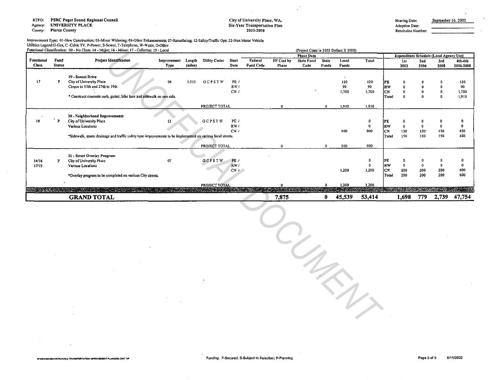**PSRC Puget Sound Regional Council** RTPO:

**UNIVERSITY PLACE** Agency:

**Pierce County** County:

## City of University Place, WA. Six-Year Transportation Plan 2003-2008

Adoption Date: Resolution Number:

Improvement Type: 01-New Construction; 05-Minor Widening; 06-Other Enhancements; 07-Resurfacing; 12-Safety/Traffic Ops; 32-Non Motor Vehicle Utilities Legend:G-Gas, C -Cable TV, P-Power, S-Sewer, T-Telephone, W-Water, O-Other

|                      |                       | Functional Classification: 00 - No Class; 14 - Major; 16 - Minor; 17 - Collector; 19 - Local               |                     |                   |                      |                      |                      |                     | (Project Costs in 2003 Dollars X 1000) |                       |                |        |           |             |             |                                                |                      |
|----------------------|-----------------------|------------------------------------------------------------------------------------------------------------|---------------------|-------------------|----------------------|----------------------|----------------------|---------------------|----------------------------------------|-----------------------|----------------|--------|-----------|-------------|-------------|------------------------------------------------|----------------------|
|                      |                       |                                                                                                            |                     |                   |                      |                      |                      |                     | <b>Phase Data</b>                      |                       |                |        |           |             |             | <b>Expenditure Schedule (Local Agency Use)</b> |                      |
| Functional<br>Class. | Fund<br><b>Status</b> | <b>Project Identification</b>                                                                              | Improvement<br>Туре | Length<br>(miles) | <b>Utility Codes</b> | <b>Start</b><br>Date | Federal<br>Fund Code | FF Cost by<br>Phase | <b>State Fund</b><br>Code              | <b>State</b><br>Funds | Local<br>Funds | Total  |           | 1st<br>2003 | 2nd<br>2004 | 3rd<br>2005                                    | 4th-6th<br>2006-2008 |
|                      |                       |                                                                                                            |                     |                   |                      |                      |                      |                     |                                        |                       |                |        |           |             |             |                                                |                      |
|                      |                       | 29 - Sunset Drive                                                                                          |                     |                   |                      |                      |                      |                     |                                        |                       |                |        |           |             |             |                                                |                      |
| 17                   |                       | City of University Place                                                                                   | 06                  | 1.515             | <b>GCPSTW</b>        | PE /                 |                      |                     |                                        |                       | 120            | 120    | <b>PE</b> |             |             |                                                | 120                  |
|                      |                       | Cirque to 35th and 27th to 19th                                                                            |                     |                   |                      | RW/                  |                      |                     |                                        |                       | 90             | 90     | <b>RW</b> |             |             |                                                | 90                   |
|                      |                       |                                                                                                            |                     |                   |                      | CN/I                 |                      |                     |                                        |                       | 1,700          | 1,700  | <b>CN</b> |             |             |                                                | 1,700                |
|                      |                       | * Construct concrete curb, gutter, bike lane and sidewalk on one side.                                     |                     |                   |                      |                      |                      |                     |                                        |                       |                |        | Total     |             |             |                                                | 1,910                |
|                      |                       |                                                                                                            |                     |                   | PROJECT TOTAL        |                      |                      |                     |                                        | 0                     | 1,910          | 1,910  |           |             |             |                                                |                      |
|                      |                       | 30 - Neighborhood Improvements                                                                             |                     |                   |                      |                      |                      |                     |                                        |                       |                |        |           |             |             |                                                |                      |
| 19                   | ₹<br>Þ                | City of University Place                                                                                   |                     |                   | GCPSTW               | PE /                 |                      |                     |                                        |                       |                |        | <b>PE</b> |             |             |                                                |                      |
|                      |                       | Various Locations                                                                                          |                     |                   |                      | RW/                  |                      |                     |                                        |                       |                | -0     | <b>RW</b> |             |             |                                                | $\bullet$            |
|                      |                       |                                                                                                            |                     |                   |                      | CN/                  |                      |                     |                                        |                       | 900            | 900    | CN.       | 150         | 150         | 150                                            | 450                  |
|                      |                       | *Sidewalk, storm drainage and traffic safety type improvements to be implemented on various local streets. |                     |                   |                      |                      |                      |                     |                                        |                       |                |        | Total     | 150         | 150         | 150                                            | 450                  |
|                      |                       |                                                                                                            |                     |                   | PROJECT TOTAL        |                      |                      |                     |                                        |                       | 900            | 900    |           |             |             |                                                |                      |
|                      |                       |                                                                                                            |                     |                   |                      |                      |                      |                     |                                        |                       |                |        |           |             |             |                                                |                      |
| 14/16                |                       | 31 - Street Overlay Program                                                                                | 07                  |                   | GCPSTW               | PE/                  |                      |                     |                                        |                       |                |        | PE        |             |             |                                                | $\mathbf 0$          |
| 17/19                |                       | City of University Place<br>Various Locations                                                              |                     |                   |                      | RW/                  |                      |                     |                                        |                       |                |        | RW        |             | 0           |                                                | -0                   |
|                      |                       |                                                                                                            |                     |                   |                      | CN/L                 |                      |                     |                                        |                       | 1,200          | 1,200  | <b>CN</b> | 200         | 200         | 200                                            | 600                  |
|                      |                       | *Overlay program to be completed on various City streets.                                                  |                     |                   |                      |                      |                      |                     |                                        |                       |                |        | Total     | 200         | 200         | 200                                            | 600                  |
|                      |                       |                                                                                                            |                     |                   | PROJECT TOTAL        |                      |                      |                     |                                        |                       | 1,200          | 1,200  |           |             |             |                                                |                      |
|                      |                       | <b>REAL PROPERTY AND INCOME.</b>                                                                           |                     |                   |                      |                      |                      |                     |                                        |                       |                |        |           |             |             |                                                |                      |
|                      |                       | <b>GRAND TOTAL</b>                                                                                         |                     |                   |                      |                      |                      | 7,875               |                                        |                       | 45,539         | 53,414 |           | 1,698       | 779         | 2,739                                          | 47,754               |

 $\frac{1}{\sqrt{2}}$ 

 $\mathcal{A}_{\ell}$